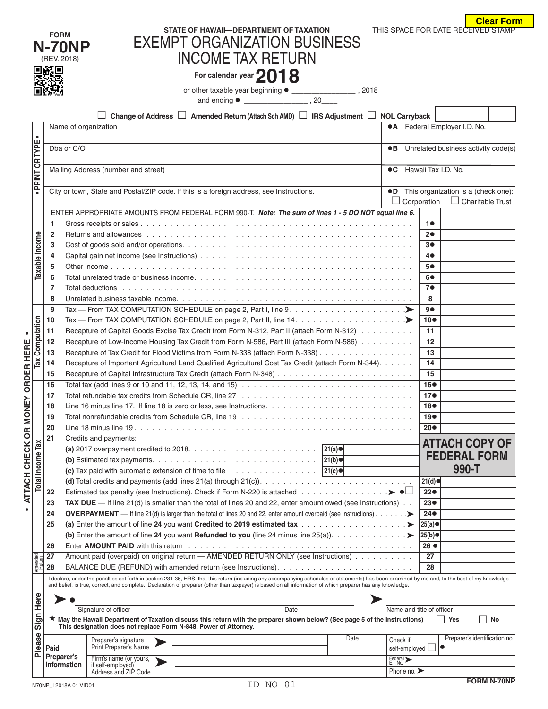|                                  | <b>Clear Form</b> |
|----------------------------------|-------------------|
| IS SPACE FOR DATE RECEIVED STAMP |                   |

|                   |                   | <b>FORM</b><br><b>N-70NP</b><br>(REV. 2018)<br>回路回 | STATE OF HAWAII-DEPARTMENT OF TAXATION<br><b>EXEMPT ORGANIZATION BUSINESS</b><br><b>INCOME TAX RETURN</b><br>For calendar year 2018<br>Amended Return (Attach Sch AMD) $\Box$ IRS Adjustment $\Box$ NOL Carryback<br>Change of Address $\Box$ |                                 |                              | <b>Clear Fori</b><br>THIS SPACE FOR DATE RECEIVED STAMP           |  |
|-------------------|-------------------|----------------------------------------------------|-----------------------------------------------------------------------------------------------------------------------------------------------------------------------------------------------------------------------------------------------|---------------------------------|------------------------------|-------------------------------------------------------------------|--|
|                   | $\bullet$         | Name of organization                               |                                                                                                                                                                                                                                               |                                 |                              | <b>•A</b> Federal Employer I.D. No.                               |  |
|                   | PRINT OR TYPE     | Dba or C/O                                         |                                                                                                                                                                                                                                               |                                 |                              | •B Unrelated business activity code(s)                            |  |
|                   |                   |                                                    |                                                                                                                                                                                                                                               |                                 | <b>C</b> Hawaii Tax I.D. No. |                                                                   |  |
|                   |                   |                                                    | Mailing Address (number and street)                                                                                                                                                                                                           |                                 |                              |                                                                   |  |
|                   |                   |                                                    | City or town, State and Postal/ZIP code. If this is a foreign address, see Instructions.                                                                                                                                                      |                                 | Corporation                  | •D This organization is a (check one):<br>$\Box$ Charitable Trust |  |
|                   |                   |                                                    | ENTER APPROPRIATE AMOUNTS FROM FEDERAL FORM 990-T. Note: The sum of lines 1 - 5 DO NOT equal line 6.                                                                                                                                          |                                 |                              |                                                                   |  |
|                   |                   | 1                                                  |                                                                                                                                                                                                                                               |                                 | 10                           |                                                                   |  |
|                   | Taxable Income    | 2                                                  |                                                                                                                                                                                                                                               |                                 | 20                           |                                                                   |  |
|                   |                   | 3<br>4                                             |                                                                                                                                                                                                                                               |                                 | 3●<br>40                     |                                                                   |  |
|                   |                   | 5                                                  |                                                                                                                                                                                                                                               |                                 | 5●                           |                                                                   |  |
|                   |                   | 6                                                  |                                                                                                                                                                                                                                               |                                 | 60                           |                                                                   |  |
|                   |                   | 7                                                  |                                                                                                                                                                                                                                               |                                 | 7●                           |                                                                   |  |
|                   |                   | 8                                                  |                                                                                                                                                                                                                                               |                                 | 8                            |                                                                   |  |
|                   |                   | 9                                                  | Tax — From TAX COMPUTATION SCHEDULE on page 2, Part I, line 9. $\dots \dots \dots \dots \dots \dots \dots$                                                                                                                                    |                                 | 90                           |                                                                   |  |
|                   | Computation       | 10                                                 |                                                                                                                                                                                                                                               |                                 | $10\bullet$                  |                                                                   |  |
|                   |                   | 11                                                 | Recapture of Capital Goods Excise Tax Credit from Form N-312, Part II (attach Form N-312)                                                                                                                                                     |                                 | 11                           |                                                                   |  |
|                   |                   | 12                                                 | Recapture of Low-Income Housing Tax Credit from Form N-586, Part III (attach Form N-586)                                                                                                                                                      |                                 | $12 \overline{ }$            |                                                                   |  |
|                   | Tax               | 13                                                 | Recapture of Tax Credit for Flood Victims from Form N-338 (attach Form N-338)                                                                                                                                                                 |                                 | 13                           |                                                                   |  |
|                   |                   | 14<br>15                                           | Recapture of Important Agricultural Land Qualified Agricultural Cost Tax Credit (attach Form N-344).                                                                                                                                          |                                 | 14<br>15                     |                                                                   |  |
| <b>ORDER HERE</b> |                   | 16                                                 | Total tax (add lines 9 or 10 and 11, 12, 13, 14, and 15) $\ldots \ldots \ldots \ldots \ldots \ldots \ldots \ldots \ldots \ldots \ldots$                                                                                                       |                                 | 16●                          |                                                                   |  |
|                   |                   | 17                                                 |                                                                                                                                                                                                                                               |                                 | 17 <sub>•</sub>              |                                                                   |  |
| ΕY                |                   | 18                                                 | Line 16 minus line 17. If line 18 is zero or less, see Instructions.                                                                                                                                                                          |                                 | 18 <sup>o</sup>              |                                                                   |  |
|                   |                   | 19                                                 |                                                                                                                                                                                                                                               |                                 | 19●                          |                                                                   |  |
| <b>OR MON</b>     |                   | 20                                                 |                                                                                                                                                                                                                                               |                                 | $20\bullet$                  |                                                                   |  |
|                   |                   | 21                                                 | Credits and payments:                                                                                                                                                                                                                         |                                 |                              | <b>ATTACH COPY OF</b>                                             |  |
| ATTACH CHECK      | Income Tax        |                                                    |                                                                                                                                                                                                                                               |                                 |                              | <b>FEDERAL FORM</b>                                               |  |
|                   |                   |                                                    | (c) Tax paid with automatic extension of time to file $\ldots \ldots \ldots \ldots \ldots$                                                                                                                                                    |                                 |                              | 990-T                                                             |  |
|                   |                   |                                                    |                                                                                                                                                                                                                                               |                                 | 21(d)                        |                                                                   |  |
|                   | Total             | 22                                                 |                                                                                                                                                                                                                                               |                                 | 22 <sub>o</sub>              |                                                                   |  |
|                   |                   | 23                                                 | TAX DUE $-$ If line 21(d) is smaller than the total of lines 20 and 22, enter amount owed (see Instructions).                                                                                                                                 |                                 | 23●                          |                                                                   |  |
|                   |                   | 24                                                 | <b>OVERPAYMENT</b> — If line 21(d) is larger than the total of lines 20 and 22, enter amount overpaid (see Instructions). $\ldots \ldots$                                                                                                     |                                 | $24\bullet$                  |                                                                   |  |
|                   |                   | 25                                                 |                                                                                                                                                                                                                                               |                                 | 25(a)                        |                                                                   |  |
|                   |                   |                                                    |                                                                                                                                                                                                                                               |                                 | 25(b)                        |                                                                   |  |
|                   |                   | 26                                                 |                                                                                                                                                                                                                                               |                                 | 26 ●                         |                                                                   |  |
|                   | Amended<br>Return | 27<br>28                                           | Amount paid (overpaid) on original return - AMENDED RETURN ONLY (see Instructions)                                                                                                                                                            |                                 | 27<br>28                     |                                                                   |  |
|                   |                   |                                                    | I declare, under the penalties set forth in section 231-36, HRS, that this return (including any accompanying schedules or statements) has been examined by me and, to the best of my knowledge                                               |                                 |                              |                                                                   |  |
|                   |                   |                                                    | and belief, is true, correct, and complete. Declaration of preparer (other than taxpayer) is based on all information of which preparer has any knowledge.                                                                                    |                                 |                              |                                                                   |  |
|                   | Here              |                                                    |                                                                                                                                                                                                                                               |                                 |                              |                                                                   |  |
|                   |                   |                                                    | Signature of officer<br>Date                                                                                                                                                                                                                  |                                 | Name and title of officer    |                                                                   |  |
|                   | 5<br>ົທ           |                                                    | ★ May the Hawaii Department of Taxation discuss this return with the preparer shown below? (See page 5 of the Instructions)<br>This designation does not replace Form N-848, Power of Attorney.                                               |                                 |                              | No<br>∣ Yes                                                       |  |
|                   | 9S                |                                                    | Date                                                                                                                                                                                                                                          | Check if                        |                              | Preparer's identification no.                                     |  |
|                   | Plea              | Paid                                               | Preparer's signature<br>Print Preparer's Name                                                                                                                                                                                                 | self-employed L                 |                              | lo                                                                |  |
|                   |                   | Preparer's                                         | Firm's name (or yours,<br>if self-employed)                                                                                                                                                                                                   | Federal ><br>E.I. No.           |                              |                                                                   |  |
|                   |                   | <b>Information</b>                                 | Address and ZIP Code                                                                                                                                                                                                                          | Phone no. $\blacktriangleright$ |                              |                                                                   |  |